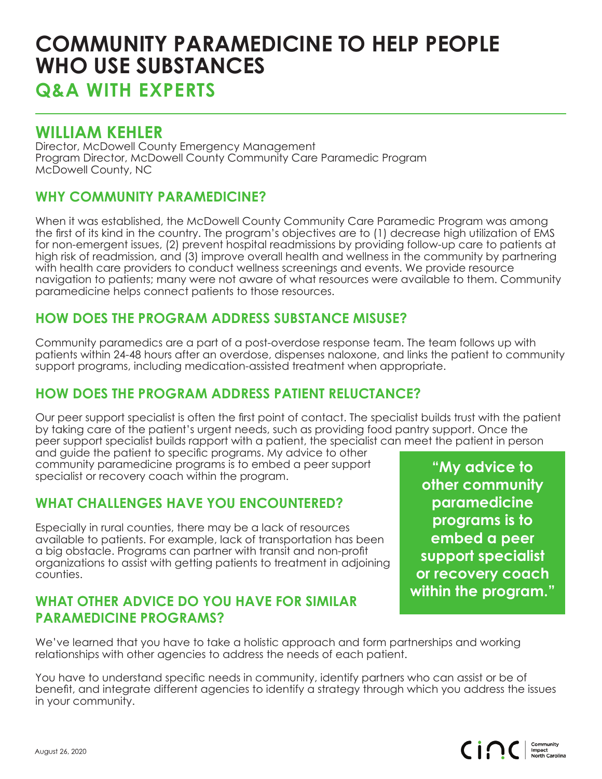# **COMMUNITY PARAMEDICINE TO HELP PEOPLE WHO USE SUBSTANCES**

**Q&A WITH EXPERTS**

# **WILLIAM KEHLER**

Director, McDowell County Emergency Management Program Director, McDowell County Community Care Paramedic Program McDowell County, NC

#### **WHY COMMUNITY PARAMEDICINE?**

When it was established, the McDowell County Community Care Paramedic Program was among the first of its kind in the country. The program's objectives are to (1) decrease high utilization of EMS for non-emergent issues, (2) prevent hospital readmissions by providing follow-up care to patients at high risk of readmission, and (3) improve overall health and wellness in the community by partnering with health care providers to conduct wellness screenings and events. We provide resource navigation to patients; many were not aware of what resources were available to them. Community paramedicine helps connect patients to those resources.

#### **HOW DOES THE PROGRAM ADDRESS SUBSTANCE MISUSE?**

Community paramedics are a part of a post-overdose response team. The team follows up with patients within 24-48 hours after an overdose, dispenses naloxone, and links the patient to community support programs, including medication-assisted treatment when appropriate.

## **HOW DOES THE PROGRAM ADDRESS PATIENT RELUCTANCE?**

Our peer support specialist is often the first point of contact. The specialist builds trust with the patient by taking care of the patient's urgent needs, such as providing food pantry support. Once the peer support specialist builds rapport with a patient, the specialist can meet the patient in person

and guide the patient to specific programs. My advice to other community paramedicine programs is to embed a peer support specialist or recovery coach within the program.

#### **WHAT CHALLENGES HAVE YOU ENCOUNTERED?**

Especially in rural counties, there may be a lack of resources available to patients. For example, lack of transportation has been a big obstacle. Programs can partner with transit and non-profit organizations to assist with getting patients to treatment in adjoining counties.

#### **WHAT OTHER ADVICE DO YOU HAVE FOR SIMILAR PARAMEDICINE PROGRAMS?**

**"My advice to other community paramedicine programs is to embed a peer support specialist or recovery coach within the program."**

We've learned that you have to take a holistic approach and form partnerships and working relationships with other agencies to address the needs of each patient.

You have to understand specific needs in community, identify partners who can assist or be of benefit, and integrate different agencies to identify a strategy through which you address the issues in your community.

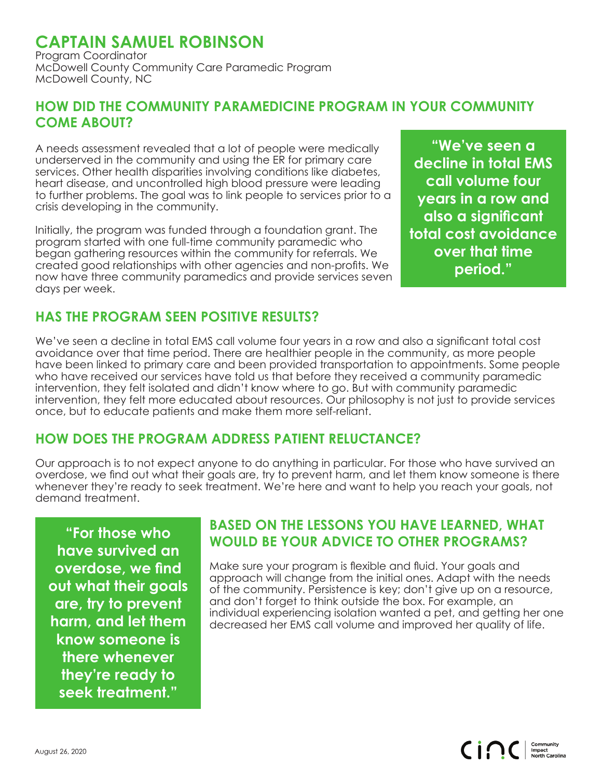# **CAPTAIN SAMUEL ROBINSON**

Program Coordinator McDowell County Community Care Paramedic Program McDowell County, NC

#### **HOW DID THE COMMUNITY PARAMEDICINE PROGRAM IN YOUR COMMUNITY COME ABOUT?**

A needs assessment revealed that a lot of people were medically underserved in the community and using the ER for primary care services. Other health disparities involving conditions like diabetes, heart disease, and uncontrolled high blood pressure were leading to further problems. The goal was to link people to services prior to a crisis developing in the community.

Initially, the program was funded through a foundation grant. The program started with one full-time community paramedic who began gathering resources within the community for referrals. We created good relationships with other agencies and non-profits. We now have three community paramedics and provide services seven days per week.

**"We've seen a decline in total EMS call volume four years in a row and also a significant total cost avoidance over that time period."**

### **HAS THE PROGRAM SEEN POSITIVE RESULTS?**

We've seen a decline in total EMS call volume four years in a row and also a significant total cost avoidance over that time period. There are healthier people in the community, as more people have been linked to primary care and been provided transportation to appointments. Some people who have received our services have told us that before they received a community paramedic intervention, they felt isolated and didn't know where to go. But with community paramedic intervention, they felt more educated about resources. Our philosophy is not just to provide services once, but to educate patients and make them more self-reliant.

#### **HOW DOES THE PROGRAM ADDRESS PATIENT RELUCTANCE?**

Our approach is to not expect anyone to do anything in particular. For those who have survived an overdose, we find out what their goals are, try to prevent harm, and let them know someone is there whenever they're ready to seek treatment. We're here and want to help you reach your goals, not demand treatment.

**"For those who have survived an overdose, we find out what their goals are, try to prevent harm, and let them know someone is there whenever they're ready to seek treatment."**

#### **BASED ON THE LESSONS YOU HAVE LEARNED, WHAT WOULD BE YOUR ADVICE TO OTHER PROGRAMS?**

Make sure your program is flexible and fluid. Your goals and approach will change from the initial ones. Adapt with the needs of the community. Persistence is key; don't give up on a resource, and don't forget to think outside the box. For example, an individual experiencing isolation wanted a pet, and getting her one decreased her EMS call volume and improved her quality of life.